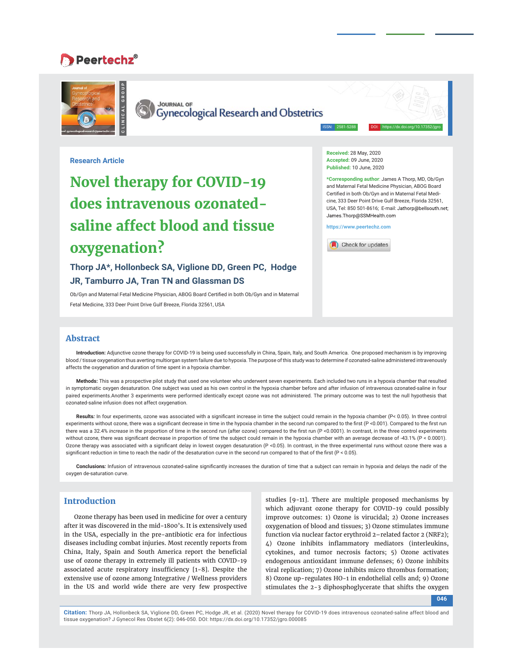# **Peertechz®**



**CLINICAL GROUP**

**JOURNAL OF**<br>Gynecological Research and Obstetrics

**Received:** 28 May, 2020 **Accepted:** 09 June, 2020 **Published:** 10 June, 2020

**\*Corresponding author**: James A Thorp, MD, Ob/Gyn and Maternal Fetal Medicine Physician, ABOG Board Certified in both Ob/Gyn and in Maternal Fetal Medicine, 333 Deer Point Drive Gulf Breeze, Florida 32561, USA, Tel: 850 501-8616; E-mail: Jathorp@bellsouth.net; James.Thorp@SSMHealth.com

ISSN: 2581-5288 DOI: https://dx.doi.org/10.17352/jgro

**https://www.peertechz.com**



**Research Article**

# **Novel therapy for COVID-19 does intravenous ozonatedsaline affect blood and tissue oxygenation?**

**Thorp JA\*, Hollonbeck SA, Viglione DD, Green PC, Hodge JR, Tamburro JA, Tran TN and Glassman DS**

Ob/Gyn and Maternal Fetal Medicine Physician, ABOG Board Certified in both Ob/Gyn and in Maternal Fetal Medicine, 333 Deer Point Drive Gulf Breeze, Florida 32561, USA

# **Abstract**

**Introduction:** Adjunctive ozone therapy for COVID-19 is being used successfully in China, Spain, Italy, and South America. One proposed mechanism is by improving blood / tissue oxygenation thus averting multiorgan system failure due to hypoxia. The purpose of this study was to determine if ozonated-saline administered intravenously affects the oxygenation and duration of time spent in a hypoxia chamber.

**Methods:** This was a prospective pilot study that used one volunteer who underwent seven experiments. Each included two runs in a hypoxia chamber that resulted in symptomatic oxygen desaturation. One subject was used as his own control in the hypoxia chamber before and after infusion of intravenous ozonated-saline in four paired experiments.Another 3 experiments were performed identically except ozone was not administered. The primary outcome was to test the null hypothesis that ozonated-saline infusion does not affect oxygenation.

Results: In four experiments, ozone was associated with a significant increase in time the subject could remain in the hypoxia chamber (P< 0.05). In three control experiments without ozone, there was a significant decrease in time in the hypoxia chamber in the second run compared to the first (P <0.001). Compared to the first run there was a 32.4% *increase* in the proportion of time in the second run (after ozone) compared to the first run (P <0.0001). In contrast, in the three control experiments without ozone, there was significant decrease in proportion of time the subject could remain in the hypoxia chamber with an average decrease of -43.1% (P < 0.0001). Ozone therapy was associated with a significant delay in lowest oxygen desaturation (P <0.05). In contrast, in the three experimental runs without ozone there was a significant reduction in time to reach the nadir of the desaturation curve in the second run compared to that of the first ( $P < 0.05$ ).

Conclusions: Infusion of intravenous ozonated-saline significantly increases the duration of time that a subject can remain in hypoxia and delays the nadir of the oxygen de-saturation curve.

# **Introduction**

Ozone therapy has been used in medicine for over a century after it was discovered in the mid-1800's. It is extensively used in the USA, especially in the pre-antibiotic era for infectious diseases including combat injuries. Most recently reports from China, Italy, Spain and South America report the beneficial use of ozone therapy in extremely ill patients with COVID-19 associated acute respiratory insufficiency  $[1-8]$ . Despite the extensive use of ozone among Integrative / Wellness providers in the US and world wide there are very few prospective

studies [9-11]. There are multiple proposed mechanisms by which adjuvant ozone therapy for COVID-19 could possibly improve outcomes: 1) Ozone is virucidal; 2) Ozone increases oxygenation of blood and tissues; 3) Ozone stimulates immune function via nuclear factor erythroid 2–related factor 2 (NRF2); 4) Ozone inhibits inflammatory mediators (interleukins, cytokines, and tumor necrosis factors; 5) Ozone activates endogenous antioxidant immune defenses; 6) Ozone inhibits viral replication; 7) Ozone inhibits micro thrombus formation; 8) Ozone up-regulates HO-1 in endothelial cells and; 9) Ozone stimulates the 2-3 diphosphoglycerate that shifts the oxygen

**046**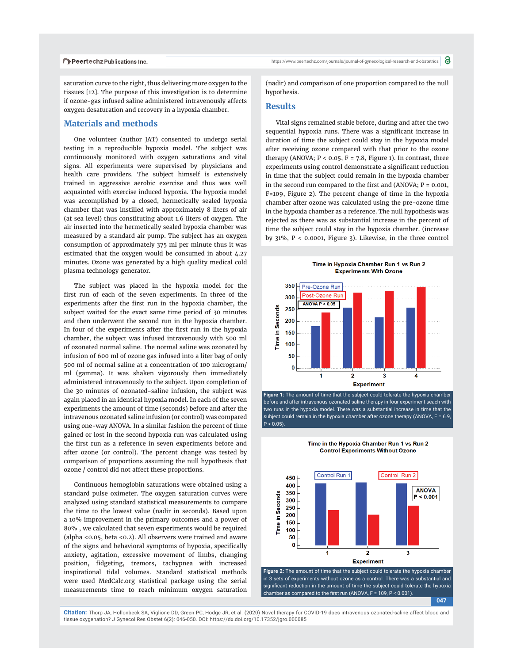saturation curve to the right, thus delivering more oxygen to the tissues [12]. The purpose of this investigation is to determine if ozone-gas infused saline administered intravenously affects oxygen desaturation and recovery in a hypoxia chamber.

## **Materials and methods**

One volunteer (author JAT) consented to undergo serial testing in a reproducible hypoxia model. The subject was continuously monitored with oxygen saturations and vital signs. All experiments were supervised by physicians and health care providers. The subject himself is extensively trained in aggressive aerobic exercise and thus was well acquainted with exercise induced hypoxia. The hypoxia model was accomplished by a closed, hermetically sealed hypoxia chamber that was instilled with approximately 8 liters of air (at sea level) thus constituting about 1.6 liters of oxygen. The air inserted into the hermetically sealed hypoxia chamber was measured by a standard air pump. The subject has an oxygen consumption of approximately 375 ml per minute thus it was estimated that the oxygen would be consumed in about 4.27 minutes. Ozone was generated by a high quality medical cold plasma technology generator.

The subject was placed in the hypoxia model for the first run of each of the seven experiments. In three of the experiments after the first run in the hypoxia chamber, the subject waited for the exact same time period of 30 minutes and then underwent the second run in the hypoxia chamber. In four of the experiments after the first run in the hypoxia chamber, the subject was infused intravenously with 500 ml of ozonated normal saline. The normal saline was ozonated by infusion of 600 ml of ozone gas infused into a liter bag of only 500 ml of normal saline at a concentration of 100 microgram/ ml (gamma). It was shaken vigorously then immediately administered intravenously to the subject. Upon completion of the 30 minutes of ozonated-saline infusion, the subject was again placed in an identical hypoxia model. In each of the seven experiments the amount of time (seconds) before and after the intravenous ozonated saline infusion (or control) was compared using one-way ANOVA. In a similar fashion the percent of time gained or lost in the second hypoxia run was calculated using the first run as a reference in seven experiments before and after ozone (or control). The percent change was tested by comparison of proportions assuming the null hypothesis that ozone / control did not affect these proportions.

Continuous hemoglobin saturations were obtained using a standard pulse oximeter. The oxygen saturation curves were analyzed using standard statistical measurements to compare the time to the lowest value (nadir in seconds). Based upon a 10% improvement in the primary outcomes and a power of 80% , we calculated that seven experiments would be required (alpha <0.05, beta <0.2). All observers were trained and aware of the signs and behavioral symptoms of hypoxia, specifically anxiety, agitation, excessive movement of limbs, changing position, fidgeting, tremors, tachypnea with increased inspirational tidal volumes. Standard statistical methods were used MedCalc.org statistical package using the serial measurements time to reach minimum oxygen saturation

https://www.peertechz.com/journals/journal-of-gynecological-research-and-obstetrics

(nadir) and comparison of one proportion compared to the null hypothesis.

### **Results**

Vital signs remained stable before, during and after the two sequential hypoxia runs. There was a significant increase in duration of time the subject could stay in the hypoxia model after receiving ozone compared with that prior to the ozone therapy (ANOVA;  $P < 0.05$ ,  $F = 7.8$ , Figure 1). In contrast, three experiments using control demonstrate a significant reduction in time that the subject could remain in the hypoxia chamber in the second run compared to the first and (ANOVA;  $P = 0.001$ , F=109, Figure 2). The percent change of time in the hypoxia chamber after ozone was calculated using the pre-ozone time in the hypoxia chamber as a reference. The null hypothesis was rejected as there was as substantial increase in the percent of time the subject could stay in the hypoxia chamber. (increase by 31%, P < 0.0001, Figure 3). Likewise, in the three control



Figure 1: The amount of time that the subject could tolerate the hypoxia chambe before and after intravenous ozonated-saline therapy in four experiment seach with two runs in the hypoxia model. There was a substantial increase in time that the subject could remain in the hypoxia chamber after ozone therapy (ANOVA, F = 6.9,  $P < 0.05$ ).

Time in the Hypoxia Chamber Run 1 vs Run 2 **Control Experiments Without Ozone** 



**Figure 2:** The amount of time that the subject could tolerate the hypoxia chamber in 3 sets of experiments without ozone as a control. There was a substantial and significant reduction in the amount of time the subject could tolerate the hypoxia chamber as compared to the first run (ANOVA,  $F = 109$ ,  $P < 0.001$ ).

**047**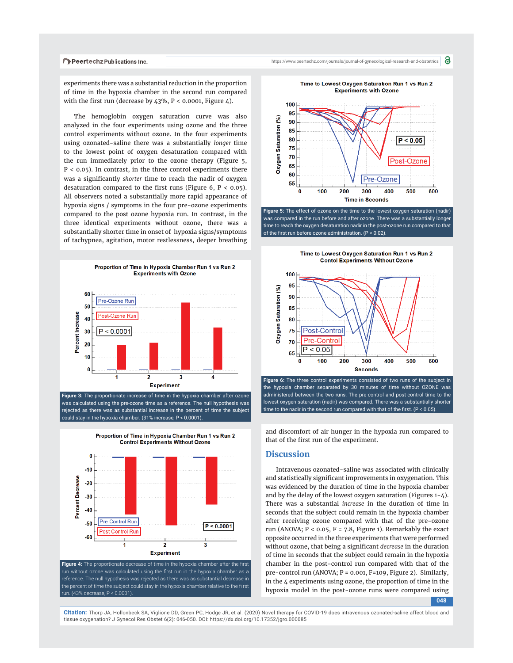

experiments there was a substantial reduction in the proportion of time in the hypoxia chamber in the second run compared with the first run (decrease by  $43\%$ , P < 0.0001, Figure 4).

The hemoglobin oxygen saturation curve was also analyzed in the four experiments using ozone and the three control experiments without ozone. In the four experiments using ozonated-saline there was a substantially *longer* time to the lowest point of oxygen desaturation compared with the run immediately prior to the ozone therapy (Figure 5, P < 0.05). In contrast, in the three control experiments there was a significantly *shorter* time to reach the nadir of oxygen desaturation compared to the first runs (Figure 6,  $P < 0.05$ ). All observers noted a substantially more rapid appearance of hypoxia signs / symptoms in the four pre-ozone experiments compared to the post ozone hypoxia run. In contrast, in the three identical experiments without ozone, there was a substantially shorter time in onset of hypoxia signs/symptoms of tachypnea, agitation, motor restlessness, deeper breathing



**Figure 3:** The proportionate increase of time in the hypoxia chamber after ozone was calculated using the pre-ozone time as a reference. The null hypothesis was rejected as there was as substantial increase in the percent of time the subject could stay in the hypoxia chamber. (31% increase, P < 0.0001).



Proportion of Time in Hypoxia Chamber Run 1 vs Run 2 **Control Experiments Without Ozone** 

**Figure 4:** The proportionate decrease of time in the hypoxia chamber after the first run without ozone was calculated using the first run in the hypoxia chamber as a reference. The null hypothesis was rejected as there was as substantial decrease in the percent of time the subject could stay in the hypoxia chamber relative to the fi rst run. (43% decrease, P < 0.0001).



**Figure 5:** The effect of ozone on the time to the lowest oxygen saturation (nadir) was compared in the run before and after ozone. There was a substantially longer time to reach the oxygen desaturation nadir in the post-ozone run compared to that of the first run before ozone administration.  $(P < 0.02)$ .





the hypoxia chamber separated by 30 minutes of time without OZONE was administered between the two runs. The pre-control and post-control time to the lowest oxygen saturation (nadir) was compared. There was a substantially shorter time to the nadir in the second run compared with that of the first.  $(P < 0.05)$ .

and discomfort of air hunger in the hypoxia run compared to that of the first run of the experiment.

#### **Discussion**

Intravenous ozonated-saline was associated with clinically and statistically significant improvements in oxygenation. This was evidenced by the duration of time in the hypoxia chamber and by the delay of the lowest oxygen saturation (Figures  $1-\frac{1}{4}$ ). There was a substantial *increase* in the duration of time in seconds that the subject could remain in the hypoxia chamber after receiving ozone compared with that of the pre-ozone run (ANOVA;  $P < 0.05$ ,  $F = 7.8$ , Figure 1). Remarkably the exact opposite occurred in the three experiments that were performed without ozone, that being a significant *decrease* in the duration of time in seconds that the subject could remain in the hypoxia chamber in the post-control run compared with that of the pre-control run (ANOVA; P = 0.001, F=109, Figure 2). Similarly, in the 4 experiments using ozone, the proportion of time in the hypoxia model in the post-ozone runs were compared using

**048**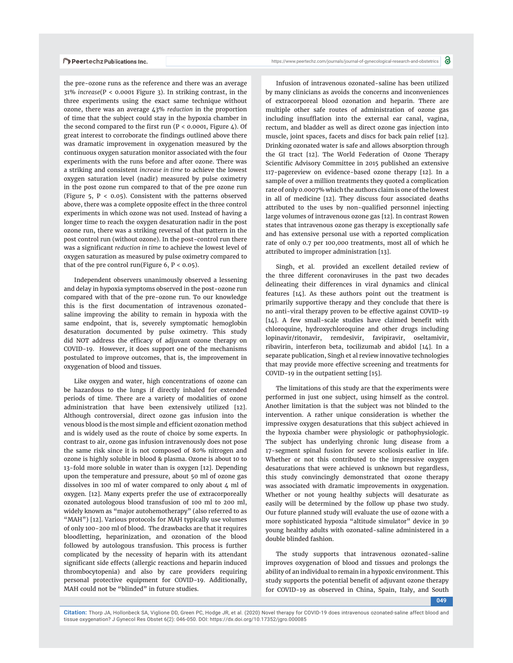the pre-ozone runs as the reference and there was an average 31% *increase*(P < 0.0001 Figure 3). In striking contrast, in the three experiments using the exact same technique without ozone, there was an average 43% *reduction* in the proportion of time that the subject could stay in the hypoxia chamber in the second compared to the first run ( $P < 0.0001$ , Figure 4). Of great interest to corroborate the findings outlined above there was dramatic improvement in oxygenation measured by the continuous oxygen saturation monitor associated with the four experiments with the runs before and after ozone. There was a striking and consistent *increase in time* to achieve the lowest oxygen saturation level (nadir) measured by pulse oximetry in the post ozone run compared to that of the pre ozone run (Figure 5,  $P < 0.05$ ). Consistent with the patterns observed above, there was a complete opposite effect in the three control experiments in which ozone was not used. Instead of having a longer time to reach the oxygen desaturation nadir in the post ozone run, there was a striking reversal of that pattern in the post control run (without ozone). In the post-control run there was a significant *reduction in time* to achieve the lowest level of oxygen saturation as measured by pulse oximetry compared to that of the pre control run(Figure  $6, P < 0.05$ ).

Independent observers unanimously observed a lessening and delay in hypoxia symptoms observed in the post-ozone run compared with that of the pre-ozone run. To our knowledge this is the first documentation of intravenous ozonatedsaline improving the ability to remain in hypoxia with the same endpoint, that is, severely symptomatic hemoglobin desaturation documented by pulse oximetry. This study did NOT address the efficacy of adjuvant ozone therapy on COVID-19. However, it does support one of the mechanisms postulated to improve outcomes, that is, the improvement in oxygenation of blood and tissues.

Like oxygen and water, high concentrations of ozone can be hazardous to the lungs if directly inhaled for extended periods of time. There are a variety of modalities of ozone administration that have been extensively utilized [12]. Although controversial, direct ozone gas infusion into the venous blood is the most simple and efficient ozonation method and is widely used as the route of choice by some experts. In contrast to air, ozone gas infusion intravenously does not pose the same risk since it is not composed of 80% nitrogen and ozone is highly soluble in blood & plasma. Ozone is about 10 to 13-fold more soluble in water than is oxygen [12]. Depending upon the temperature and pressure, about 50 ml of ozone gas dissolves in 100 ml of water compared to only about 4 ml of oxygen. [12]. Many experts prefer the use of extracorporeally ozonated autologous blood transfusion of 100 ml to 200 ml, widely known as "major autohemotherapy" (also referred to as "MAH") [12]. Various protocols for MAH typically use volumes of only 100-200 ml of blood. The drawbacks are that it requires bloodletting, heparinization, and ozonation of the blood followed by autologous transfusion. This process is further complicated by the necessity of heparin with its attendant significant side effects (allergic reactions and heparin induced thrombocytopenia) and also by care providers requiring personal protective equipment for COVID-19. Additionally, MAH could not be "blinded" in future studies.

https://www.peertechz.com/journals/journal-of-gynecological-research-and-obstetrics

Infusion of intravenous ozonated-saline has been utilized by many clinicians as avoids the concerns and inconveniences of extracorporeal blood ozonation and heparin. There are multiple other safe routes of administration of ozone gas including insufflation into the external ear canal, vagina, rectum, and bladder as well as direct ozone gas injection into muscle, joint spaces, facets and discs for back pain relief [12]. Drinking ozonated water is safe and allows absorption through the GI tract [12]. The World Federation of Ozone Therapy Scientific Advisory Committee in 2015 published an extensive 117-pagereview on evidence-based ozone therapy [12]. In a sample of over a million treatments they quoted a complication rate of only 0.0007% which the authors claim is one of the lowest in all of medicine [12]. They discuss four associated deaths attributed to the uses by non-qualified personnel injecting large volumes of intravenous ozone gas [12]. In contrast Rowen states that intravenous ozone gas therapy is exceptionally safe and has extensive personal use with a reported complication rate of only 0.7 per 100,000 treatments, most all of which he attributed to improper administration [13].

Singh, et al. provided an excellent detailed review of the three different coronaviruses in the past two decades delineating their differences in viral dynamics and clinical features [14]. As these authors point out the treatment is primarily supportive therapy and they conclude that there is no anti-viral therapy proven to be effective against COVID-19  $[14]$ . A few small-scale studies have claimed benefit with chloroquine, hydroxychloroquine and other drugs including lopinavir/ritonavir, remdesivir, favipiravir, oseltamivir, ribavirin, interferon beta, tocilizumab and abidol [14]. In a separate publication, Singh et al review innovative technologies that may provide more effective screening and treatments for COVID-19 in the outpatient setting [15].

The limitations of this study are that the experiments were performed in just one subject, using himself as the control. Another limitation is that the subject was not blinded to the intervention. A rather unique consideration is whether the impressive oxygen desaturations that this subject achieved in the hypoxia chamber were physiologic or pathophysiologic. The subject has underlying chronic lung disease from a 17-segment spinal fusion for severe scoliosis earlier in life. Whether or not this contributed to the impressive oxygen desaturations that were achieved is unknown but regardless, this study convincingly demonstrated that ozone therapy was associated with dramatic improvements in oxygenation. Whether or not young healthy subjects will desaturate as easily will be determined by the follow up phase two study. Our future planned study will evaluate the use of ozone with a more sophisticated hypoxia "altitude simulator" device in 30 young healthy adults with ozonated-saline administered in a double blinded fashion.

The study supports that intravenous ozonated-saline improves oxygenation of blood and tissues and prolongs the ability of an individual to remain in a hypoxic environment. This study supports the potential benefit of adjuvant ozone therapy for COVID-19 as observed in China, Spain, Italy, and South